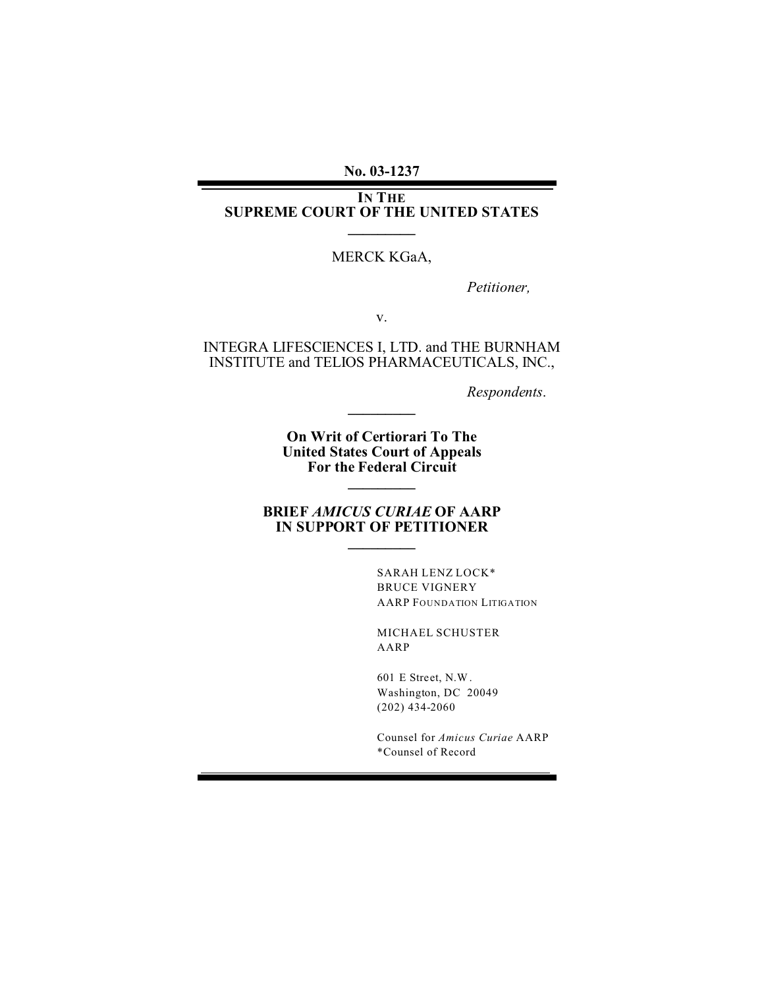**No. 03-1237**

**IN THE SUPREME COURT OF THE UNITED STATES \_\_\_\_\_\_\_\_\_**

#### MERCK KGaA,

*Petitioner,*

v.

INTEGRA LIFESCIENCES I, LTD. and THE BURNHAM INSTITUTE and TELIOS PHARMACEUTICALS, INC.,

*Respondents*.

**On Writ of Certiorari To The United States Court of Appeals For the Federal Circuit**

**\_\_\_\_\_\_\_\_\_**

**\_\_\_\_\_\_\_\_\_**

#### **BRIEF** *AMICUS CURIAE* **OF AARP IN SUPPORT OF PETITIONER \_\_\_\_\_\_\_\_\_**

SARAH LENZ LOCK\* BRUCE VIGNERY AARP FOUNDATION LITIGATION

MICHAEL SCHUSTER AARP

601 E Street, N.W. Washington, DC 20049 (202) 434-2060

Counsel for *Amicus Curiae* AARP \*Counsel of Record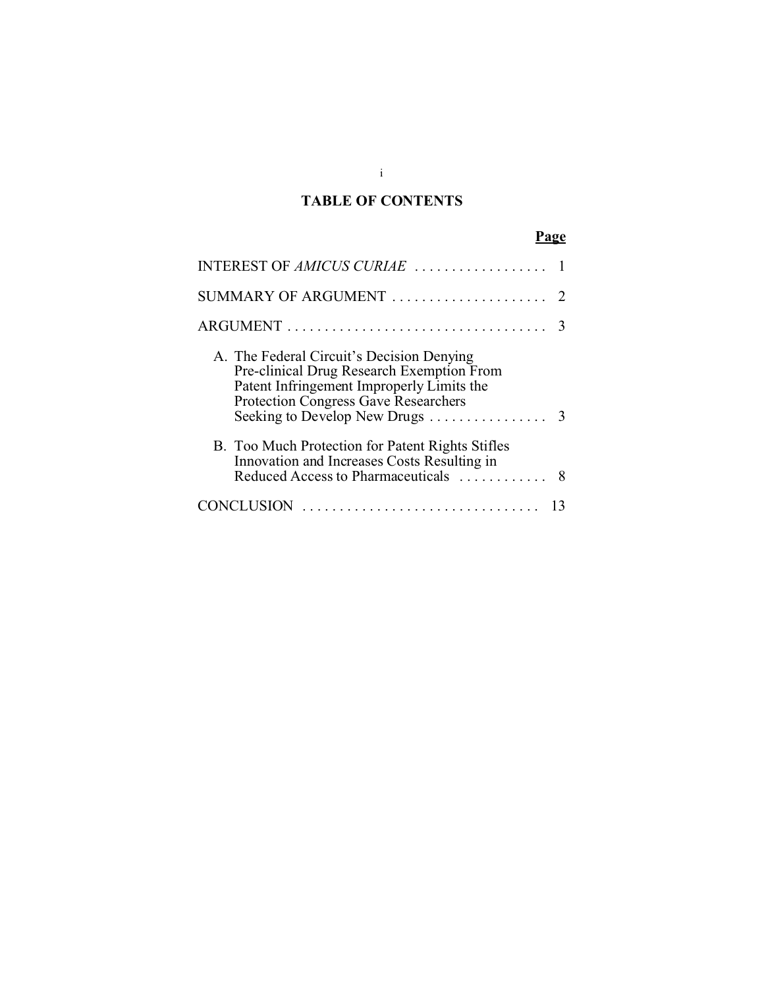## **TABLE OF CONTENTS**

# **Page**

| INTEREST OF AMICUS CURIAE                                                                                                                                                                                          |               |
|--------------------------------------------------------------------------------------------------------------------------------------------------------------------------------------------------------------------|---------------|
| SUMMARY OF ARGUMENT                                                                                                                                                                                                |               |
|                                                                                                                                                                                                                    | 3             |
| A. The Federal Circuit's Decision Denying<br>Pre-clinical Drug Research Exemption From<br>Patent Infringement Improperly Limits the<br><b>Protection Congress Gave Researchers</b><br>Seeking to Develop New Drugs | $\mathcal{R}$ |
| B. Too Much Protection for Patent Rights Stifles<br>Innovation and Increases Costs Resulting in<br>Reduced Access to Pharmaceuticals                                                                               | 8             |
| CLUSION                                                                                                                                                                                                            |               |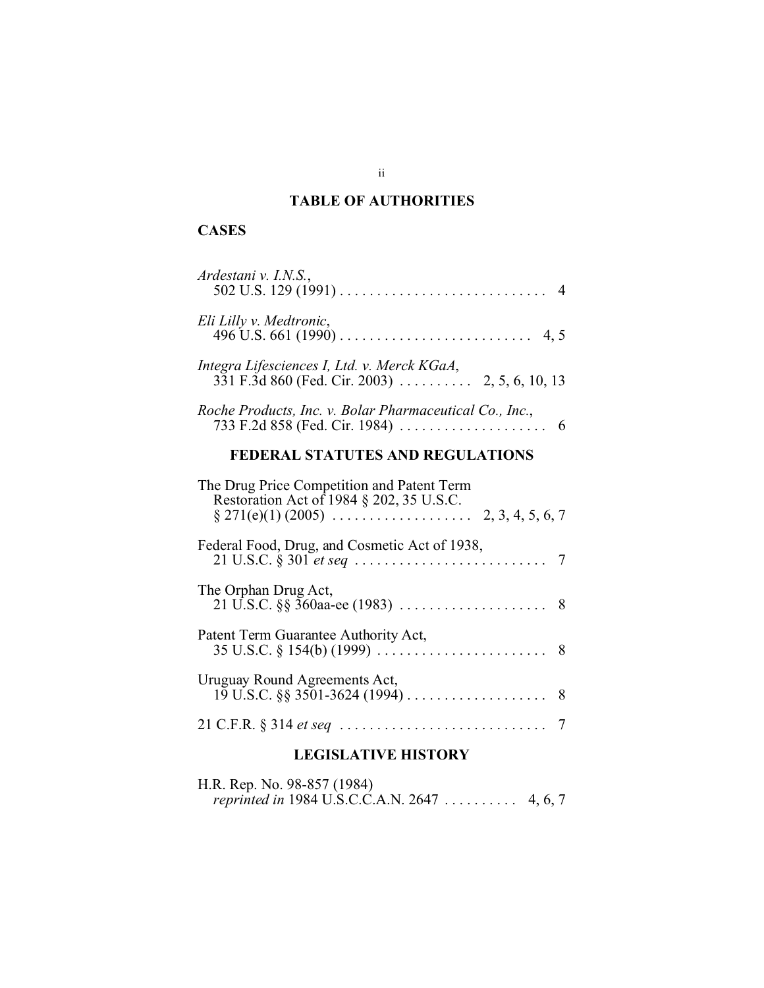## **TABLE OF AUTHORITIES**

## **CASES**

| Ardestani v. I.N.S.,                                                                   |
|----------------------------------------------------------------------------------------|
| Eli Lilly v. Medtronic,                                                                |
| Integra Lifesciences I, Ltd. v. Merck KGaA,                                            |
| Roche Products, Inc. v. Bolar Pharmaceutical Co., Inc.,                                |
| FEDERAL STATUTES AND REGULATIONS                                                       |
| The Drug Price Competition and Patent Term<br>Restoration Act of 1984 § 202, 35 U.S.C. |
| Federal Food, Drug, and Cosmetic Act of 1938,                                          |
| The Orphan Drug Act,                                                                   |
| Patent Term Guarantee Authority Act,                                                   |
| Uruguay Round Agreements Act,                                                          |
|                                                                                        |

### **LEGISLATIVE HISTORY**

H.R. Rep. No. 98-857 (1984) *reprinted in* 1984 U.S.C.C.A.N. 2647 .......... 4, 6, 7

ii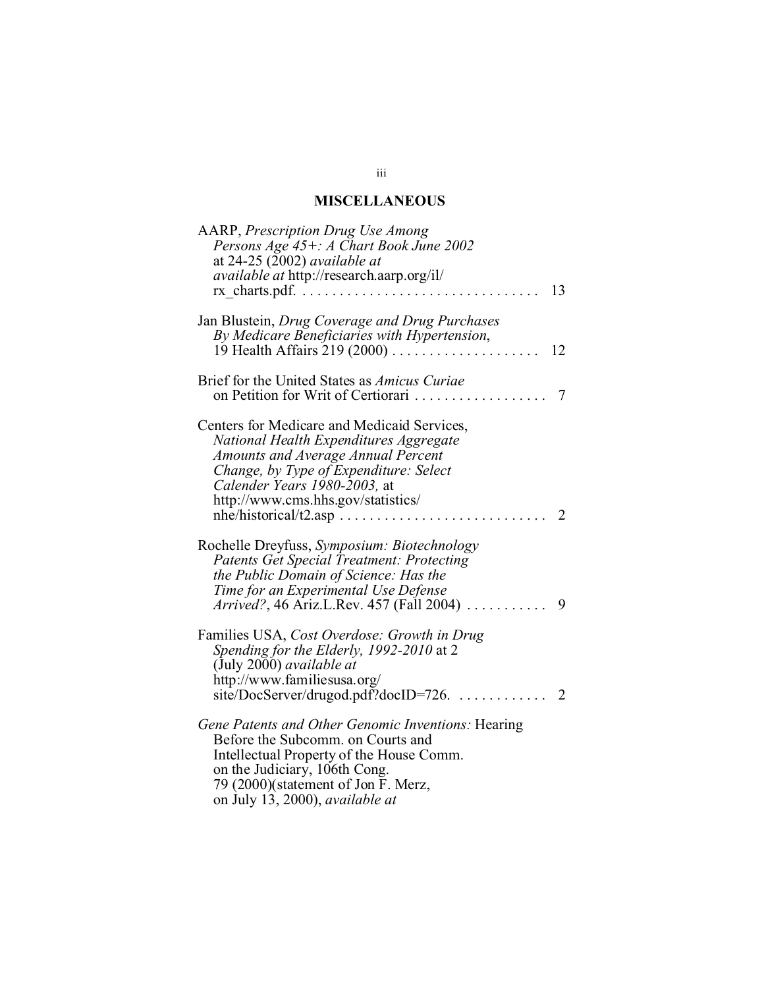## **MISCELLANEOUS**

| AARP, Prescription Drug Use Among<br>Persons Age 45+: A Chart Book June 2002<br>at $24-25$ (2002) available at<br><i>available at http://research.aarp.org/il/</i><br>13                                                                                                     |
|------------------------------------------------------------------------------------------------------------------------------------------------------------------------------------------------------------------------------------------------------------------------------|
| Jan Blustein, Drug Coverage and Drug Purchases<br>By Medicare Beneficiaries with Hypertension,<br>12                                                                                                                                                                         |
| Brief for the United States as Amicus Curiae<br>on Petition for Writ of Certiorari<br>7                                                                                                                                                                                      |
| Centers for Medicare and Medicaid Services,<br>National Health Expenditures Aggregate<br>Amounts and Average Annual Percent<br>Change, by Type of Expenditure: Select<br>Calender Years 1980-2003, at<br>http://www.cms.hhs.gov/statistics/<br>$n$ he/historical/t2.asp<br>2 |
| Rochelle Dreyfuss, Symposium: Biotechnology<br><b>Patents Get Special Treatment: Protecting</b><br>the Public Domain of Science: Has the<br>Time for an Experimental Use Defense<br>Arrived?, 46 Ariz.L.Rev. 457 (Fall 2004)<br>9                                            |
| Families USA, Cost Overdose: Growth in Drug<br>Spending for the Elderly, 1992-2010 at 2<br>(July 2000) available at<br>http://www.familiesusa.org/<br>site/DocServer/drugod.pdf?docID=726.<br>2                                                                              |
| Gene Patents and Other Genomic Inventions: Hearing<br>Before the Subcomm. on Courts and<br>Intellectual Property of the House Comm.<br>on the Judiciary, 106th Cong.<br>79 (2000)(statement of Jon F. Merz,<br>on July 13, 2000), available at                               |

#### iii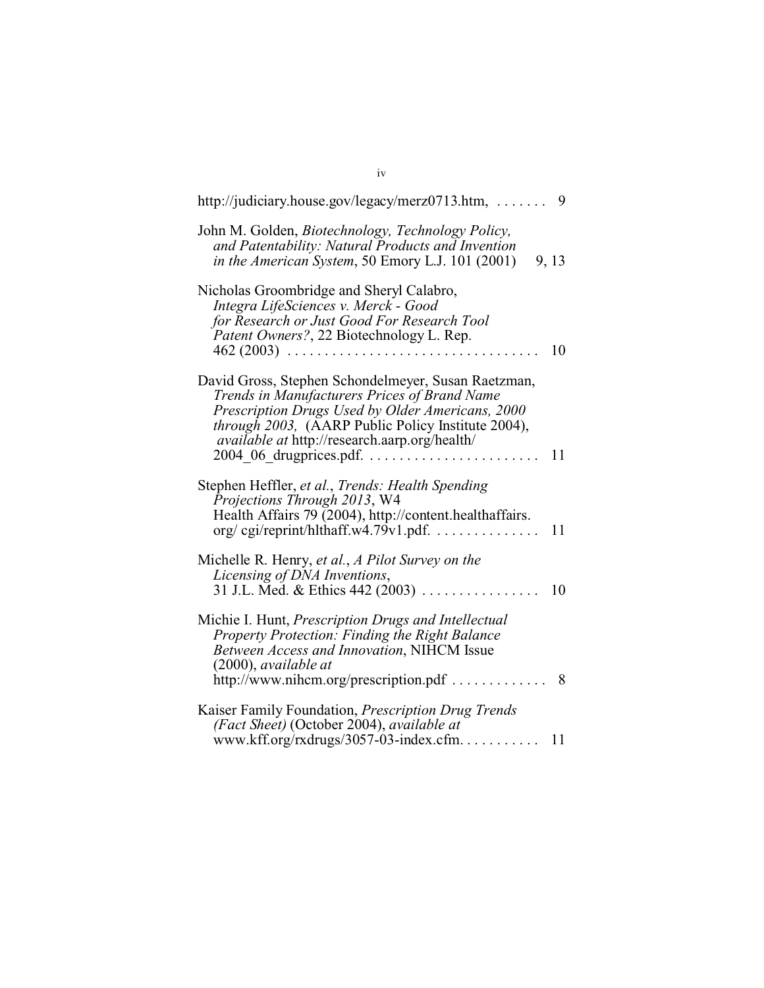| http://judiciary.house.gov/legacy/merz0713.htm,                                                                                                                                                                                                                                                   | 9     |
|---------------------------------------------------------------------------------------------------------------------------------------------------------------------------------------------------------------------------------------------------------------------------------------------------|-------|
| John M. Golden, Biotechnology, Technology Policy,<br>and Patentability: Natural Products and Invention<br>in the American System, 50 Emory L.J. 101 (2001)                                                                                                                                        | 9, 13 |
| Nicholas Groombridge and Sheryl Calabro,<br>Integra LifeSciences v. Merck - Good<br>for Research or Just Good For Research Tool<br>Patent Owners?, 22 Biotechnology L. Rep.<br>$462 (2003)$                                                                                                       | 10    |
| David Gross, Stephen Schondelmeyer, Susan Raetzman,<br>Trends in Manufacturers Prices of Brand Name<br>Prescription Drugs Used by Older Americans, 2000<br>through 2003, (AARP Public Policy Institute 2004),<br><i>available at http://research.aarp.org/health/</i><br>$2004$ 06 drugprices.pdf | 11    |
| Stephen Heffler, et al., Trends: Health Spending<br>Projections Through 2013, W4<br>Health Affairs 79 (2004), http://content.healthaffairs.<br>$\frac{\text{org}}{\text{org}}$ cgi/reprint/hlthaff.w4.79v1.pdf                                                                                    | 11    |
| Michelle R. Henry, et al., A Pilot Survey on the<br>Licensing of DNA Inventions,<br>31 J.L. Med. & Ethics 442 (2003).                                                                                                                                                                             | 10    |
| Michie I. Hunt, Prescription Drugs and Intellectual<br><b>Property Protection: Finding the Right Balance</b><br>Between Access and Innovation, NIHCM Issue<br>$(2000)$ , available at<br>http://www.nihcm.org/prescription.pdf                                                                    | 8     |
| Kaiser Family Foundation, Prescription Drug Trends<br>(Fact Sheet) (October 2004), available at<br>www.kff.org/rxdrugs/3057-03-index.cfm                                                                                                                                                          | 11    |
|                                                                                                                                                                                                                                                                                                   |       |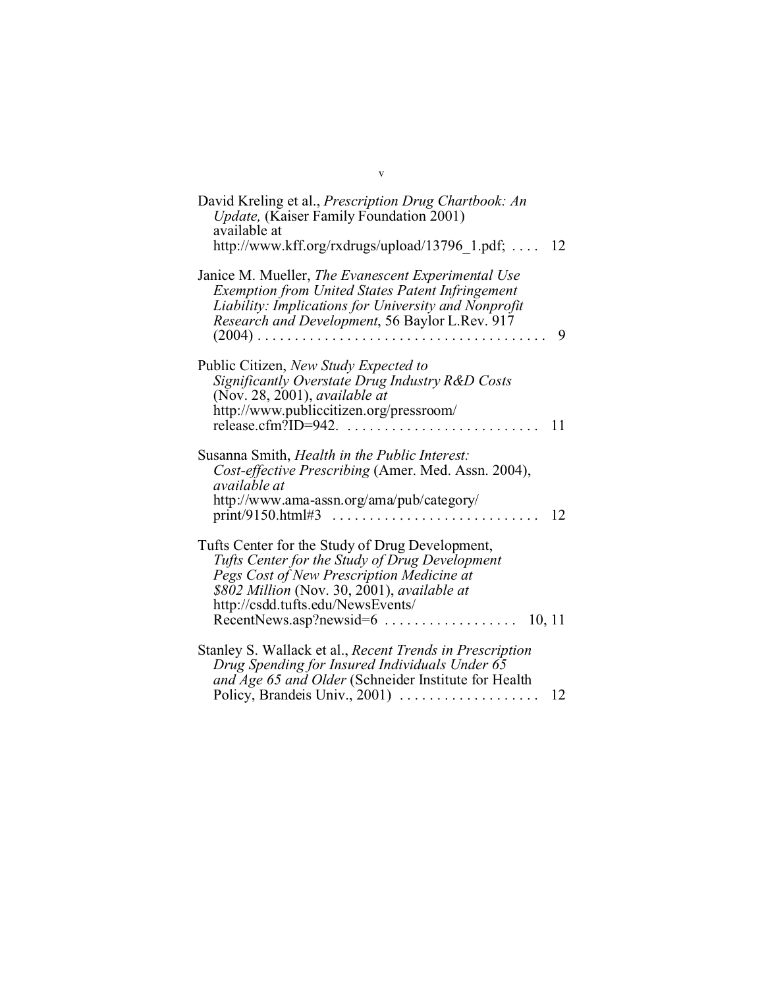| David Kreling et al., Prescription Drug Chartbook: An<br>Update, (Kaiser Family Foundation 2001)<br>available at<br>http://www.kff.org/rxdrugs/upload/13796 $1.pdf$ ;<br>- 12                                                                                                                             |
|-----------------------------------------------------------------------------------------------------------------------------------------------------------------------------------------------------------------------------------------------------------------------------------------------------------|
| Janice M. Mueller, The Evanescent Experimental Use<br><b>Exemption from United States Patent Infringement</b><br>Liability: Implications for University and Nonprofit<br>Research and Development, 56 Baylor L.Rev. 917<br>9                                                                              |
| Public Citizen, New Study Expected to<br>Significantly Overstate Drug Industry R&D Costs<br>(Nov. 28, 2001), available at<br>http://www.publiccitizen.org/pressroom/<br>release.cfm?ID=942.<br>11                                                                                                         |
| Susanna Smith, Health in the Public Interest:<br>Cost-effective Prescribing (Amer. Med. Assn. 2004),<br>available at<br>http://www.ama-assn.org/ama/pub/category/<br>12                                                                                                                                   |
| Tufts Center for the Study of Drug Development,<br>Tufts Center for the Study of Drug Development<br>Pegs Cost of New Prescription Medicine at<br>\$802 Million (Nov. 30, 2001), available at<br>http://csdd.tufts.edu/NewsEvents/<br>$Recent News. asp?newsid = 6 \ldots \ldots \ldots \ldots$<br>10, 11 |
| Stanley S. Wallack et al., Recent Trends in Prescription<br>Drug Spending for Insured Individuals Under 65<br>and Age 65 and Older (Schneider Institute for Health<br>Policy, Brandeis Univ., 2001)<br>12                                                                                                 |

v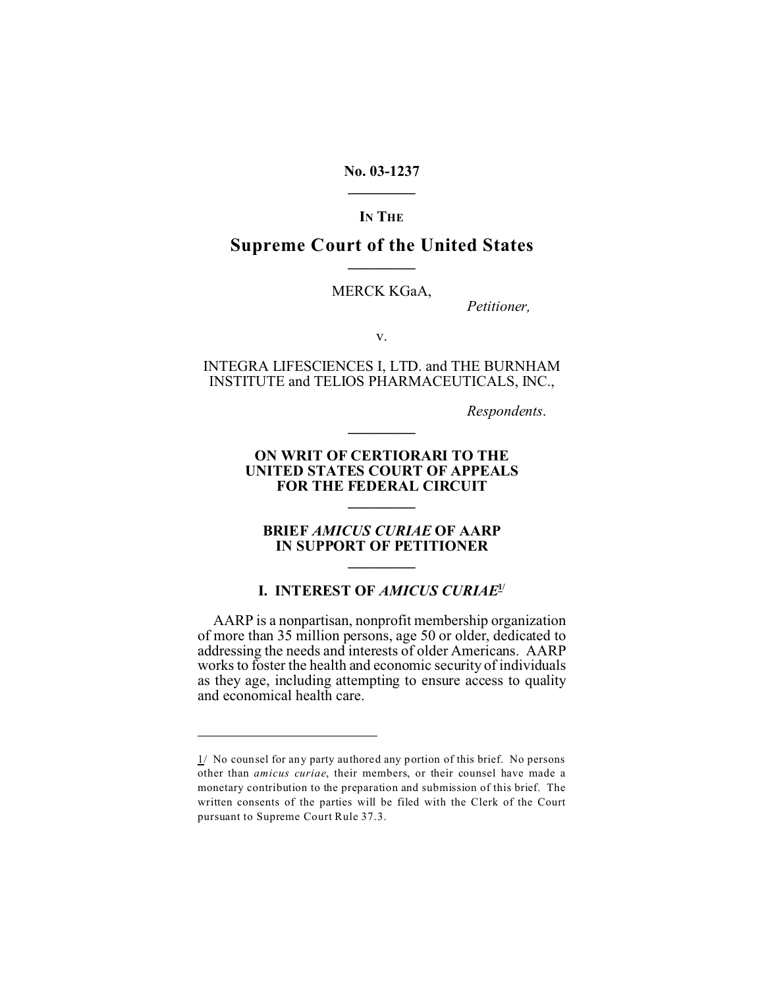**No. 03-1237 \_\_\_\_\_\_\_\_\_**

**IN THE**

### **Supreme Court of the United States \_\_\_\_\_\_\_\_\_**

MERCK KGaA,

*Petitioner,*

v.

INTEGRA LIFESCIENCES I, LTD. and THE BURNHAM INSTITUTE and TELIOS PHARMACEUTICALS, INC.,

*Respondents*.

#### **ON WRIT OF CERTIORARI TO THE UNITED STATES COURT OF APPEALS FOR THE FEDERAL CIRCUIT**

**\_\_\_\_\_\_\_\_\_**

**\_\_\_\_\_\_\_\_\_**

#### **BRIEF** *AMICUS CURIAE* **OF AARP IN SUPPORT OF PETITIONER \_\_\_\_\_\_\_\_\_**

#### **I. INTEREST OF** *AMICUS CURIAE***1/**

AARP is a nonpartisan, nonprofit membership organization of more than 35 million persons, age 50 or older, dedicated to addressing the needs and interests of older Americans. AARP works to foster the health and economic security of individuals as they age, including attempting to ensure access to quality and economical health care.

<sup>1/</sup> No counsel for any party authored any portion of this brief. No persons other than *amicus curiae*, their members, or their counsel have made a monetary contribution to the preparation and submission of this brief. The written consents of the parties will be filed with the Clerk of the Court pursuant to Supreme Court Rule 37.3.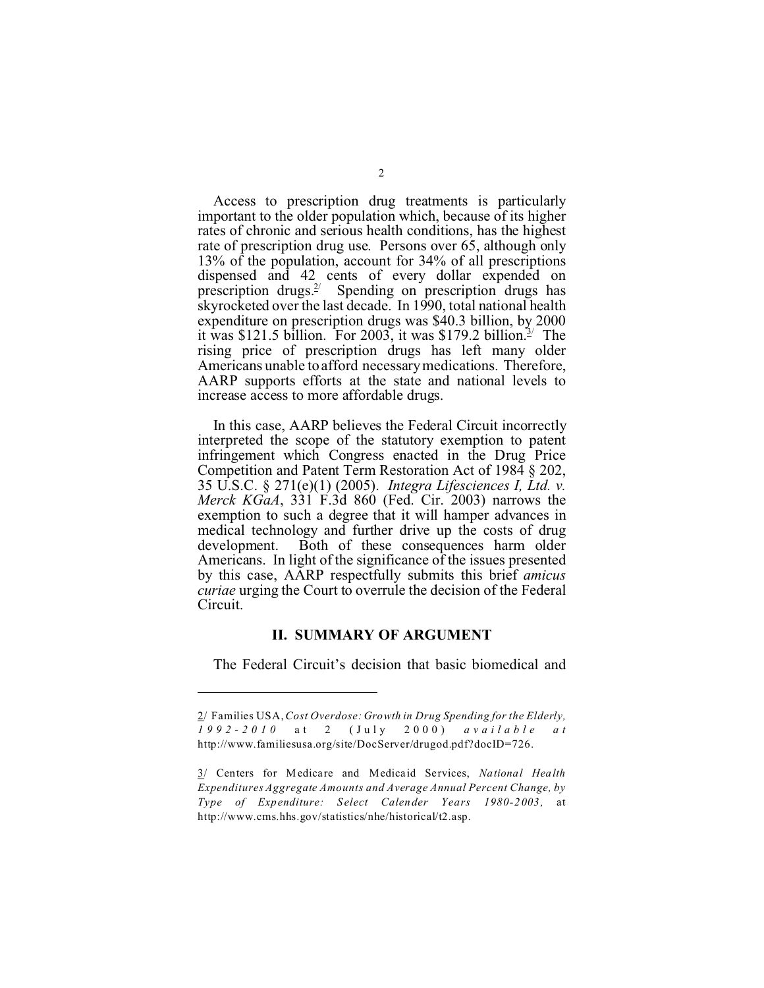Access to prescription drug treatments is particularly important to the older population which, because of its higher rates of chronic and serious health conditions, has the highest rate of prescription drug use. Persons over 65, although only 13% of the population, account for 34% of all prescriptions dispensed and 42 cents of every dollar expended on prescription drugs.<sup>2/</sup> Spending on prescription drugs has skyrocketed over the last decade. In 1990, total national health expenditure on prescription drugs was \$40.3 billion, by 2000 it was \$121.5 billion. For 2003, it was \$179.2 billion.<sup>3/</sup> The rising price of prescription drugs has left many older Americans unable to afford necessary medications. Therefore, AARP supports efforts at the state and national levels to increase access to more affordable drugs.

In this case, AARP believes the Federal Circuit incorrectly interpreted the scope of the statutory exemption to patent infringement which Congress enacted in the Drug Price Competition and Patent Term Restoration Act of 1984 § 202, 35 U.S.C. § 271(e)(1) (2005). *Integra Lifesciences I, Ltd. v. Merck KGaA*, 331 F.3d 860 (Fed. Cir. 2003) narrows the exemption to such a degree that it will hamper advances in medical technology and further drive up the costs of drug development. Both of these consequences harm older Americans. In light of the significance of the issues presented by this case, AARP respectfully submits this brief *amicus curiae* urging the Court to overrule the decision of the Federal Circuit.

#### **II. SUMMARY OF ARGUMENT**

The Federal Circuit's decision that basic biomedical and

<sup>2/</sup> Families USA, *Cost Overdose: Growth in Drug Spending for the Elderly, 1992-2010* a t 2 (Jul y 2000) *available a t* http://www.familiesusa.org/site/DocServer/drugod.pdf?docID=726.

<sup>3/</sup> Centers for Medicare and Medicaid Services, *National Health Expenditures Aggregate Amounts and Average Annual Percent Change, by Type of Expenditure: Select Calender Years 1980-2 003 ,* at http://www.cms.hhs.gov/statistics/nhe/historical/t2.asp.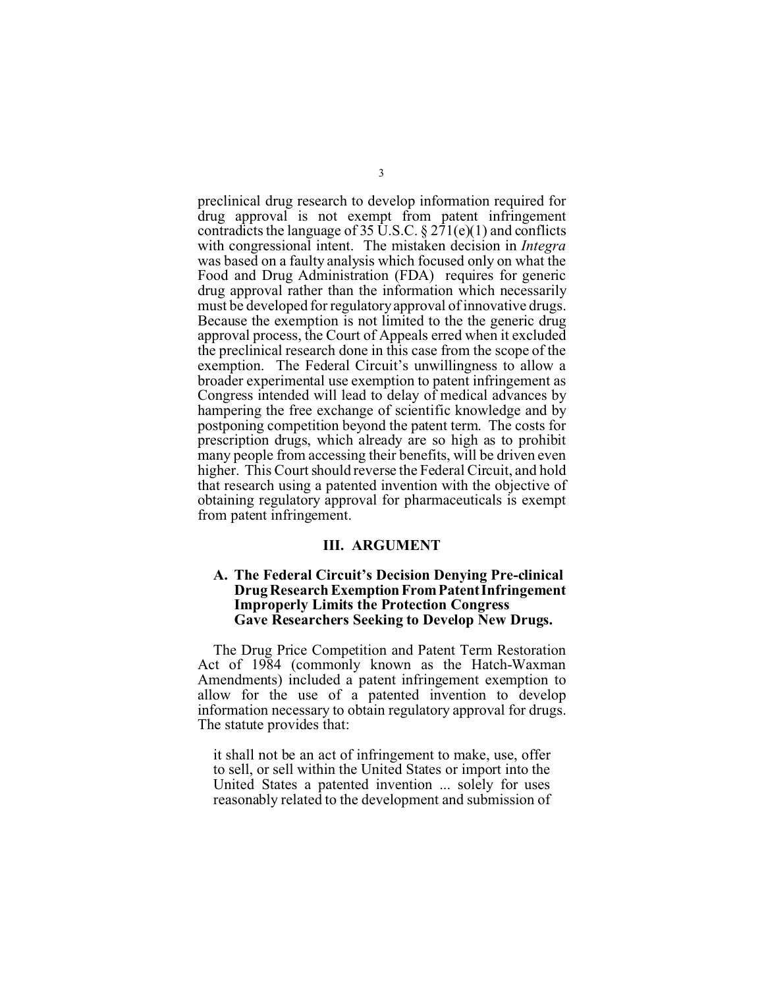preclinical drug research to develop information required for drug approval is not exempt from patent infringement contradicts the language of 35 U.S.C. § 271(e)(1) and conflicts with congressional intent. The mistaken decision in *Integra* was based on a faulty analysis which focused only on what the Food and Drug Administration (FDA) requires for generic drug approval rather than the information which necessarily must be developed for regulatory approval of innovative drugs. Because the exemption is not limited to the the generic drug approval process, the Court of Appeals erred when it excluded the preclinical research done in this case from the scope of the exemption. The Federal Circuit's unwillingness to allow a broader experimental use exemption to patent infringement as Congress intended will lead to delay of medical advances by hampering the free exchange of scientific knowledge and by postponing competition beyond the patent term. The costs for prescription drugs, which already are so high as to prohibit many people from accessing their benefits, will be driven even higher. This Court should reverse the Federal Circuit, and hold that research using a patented invention with the objective of obtaining regulatory approval for pharmaceuticals is exempt from patent infringement.

#### **III. ARGUMENT**

#### **A. The Federal Circuit's Decision Denying Pre-clinical Drug Research Exemption From Patent Infringement Improperly Limits the Protection Congress Gave Researchers Seeking to Develop New Drugs.**

The Drug Price Competition and Patent Term Restoration Act of 1984 (commonly known as the Hatch-Waxman Amendments) included a patent infringement exemption to allow for the use of a patented invention to develop information necessary to obtain regulatory approval for drugs. The statute provides that:

it shall not be an act of infringement to make, use, offer to sell, or sell within the United States or import into the United States a patented invention ... solely for uses reasonably related to the development and submission of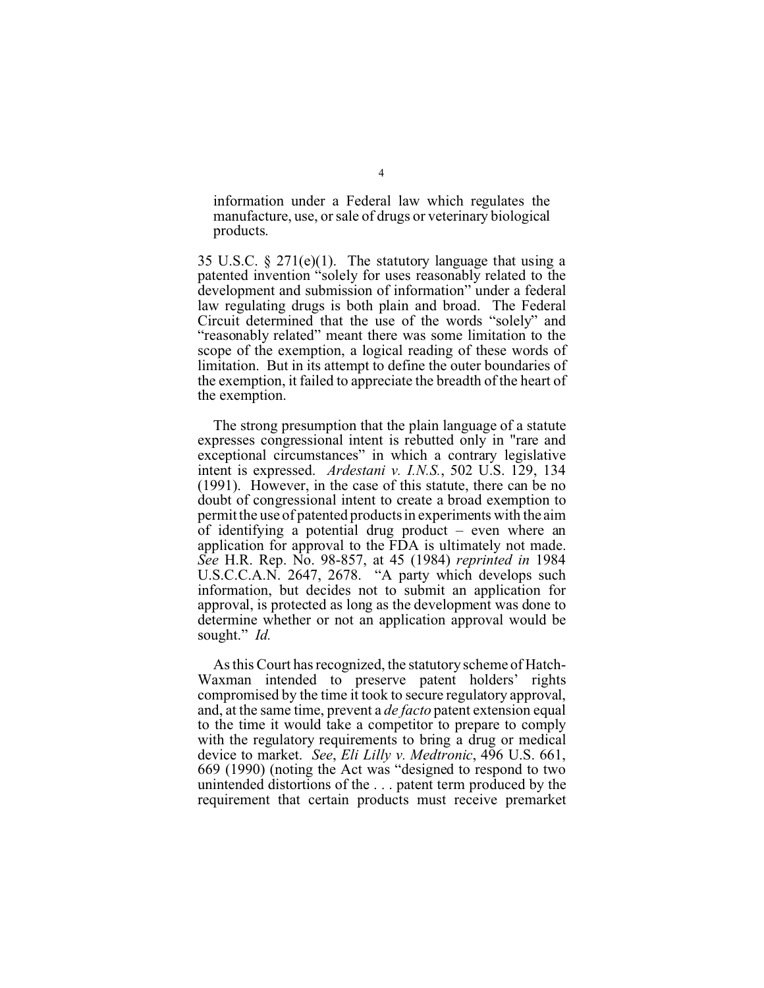information under a Federal law which regulates the manufacture, use, or sale of drugs or veterinary biological products.

35 U.S.C.  $\S 271(e)(1)$ . The statutory language that using a patented invention "solely for uses reasonably related to the development and submission of information" under a federal law regulating drugs is both plain and broad. The Federal Circuit determined that the use of the words "solely" and "reasonably related" meant there was some limitation to the scope of the exemption, a logical reading of these words of limitation. But in its attempt to define the outer boundaries of the exemption, it failed to appreciate the breadth of the heart of the exemption.

The strong presumption that the plain language of a statute expresses congressional intent is rebutted only in "rare and exceptional circumstances" in which a contrary legislative intent is expressed. *Ardestani v. I.N.S.*, 502 U.S. 129, 134 (1991). However, in the case of this statute, there can be no doubt of congressional intent to create a broad exemption to permit the use of patented products in experiments with the aim of identifying a potential drug product – even where an application for approval to the FDA is ultimately not made. *See* H.R. Rep. No. 98-857, at 45 (1984) *reprinted in* 1984 U.S.C.C.A.N. 2647, 2678. "A party which develops such information, but decides not to submit an application for approval, is protected as long as the development was done to determine whether or not an application approval would be sought." *Id.*

As this Court has recognized, the statutory scheme of Hatch-Waxman intended to preserve patent holders' rights compromised by the time it took to secure regulatory approval, and, at the same time, prevent a *de facto* patent extension equal to the time it would take a competitor to prepare to comply with the regulatory requirements to bring a drug or medical device to market. *See*, *Eli Lilly v. Medtronic*, 496 U.S. 661, 669 (1990) (noting the Act was "designed to respond to two unintended distortions of the . . . patent term produced by the requirement that certain products must receive premarket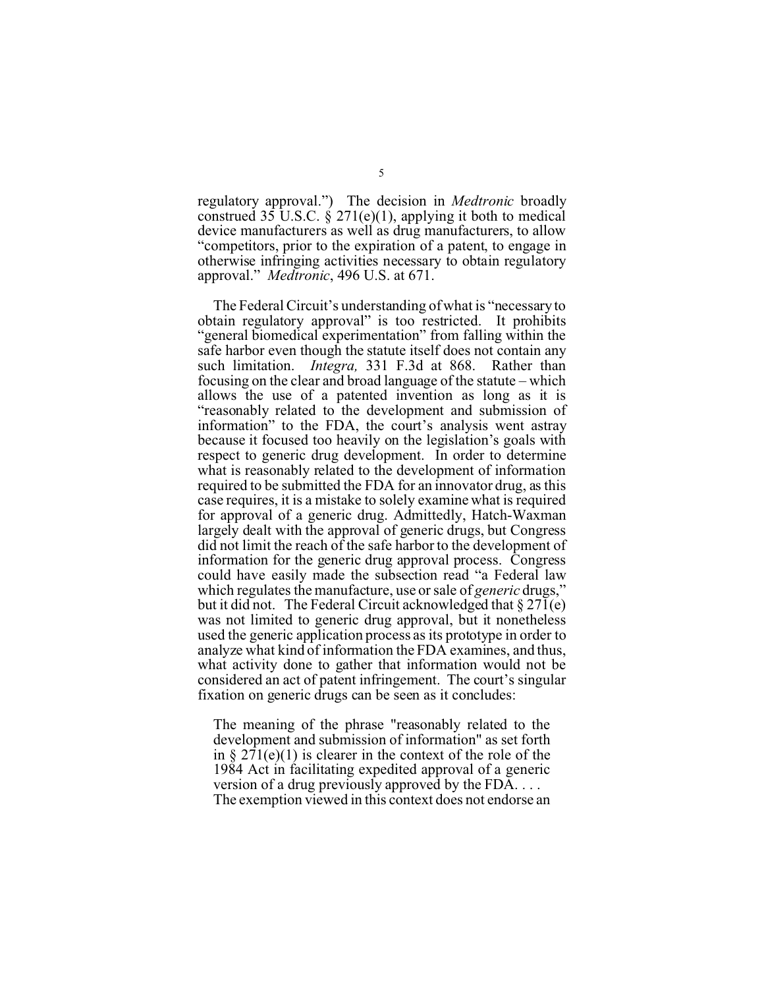regulatory approval.") The decision in *Medtronic* broadly construed  $35 \text{ U.S.C.}$  §  $271(e)(1)$ , applying it both to medical device manufacturers as well as drug manufacturers, to allow "competitors, prior to the expiration of a patent, to engage in otherwise infringing activities necessary to obtain regulatory approval." *Medtronic*, 496 U.S. at 671.

The Federal Circuit's understanding of what is "necessary to obtain regulatory approval" is too restricted. It prohibits "general biomedical experimentation" from falling within the safe harbor even though the statute itself does not contain any such limitation. *Integra,* 331 F.3d at 868. Rather than focusing on the clear and broad language of the statute – which allows the use of a patented invention as long as it is "reasonably related to the development and submission of information" to the FDA, the court's analysis went astray because it focused too heavily on the legislation's goals with respect to generic drug development. In order to determine what is reasonably related to the development of information required to be submitted the FDA for an innovator drug, as this case requires, it is a mistake to solely examine what is required for approval of a generic drug. Admittedly, Hatch-Waxman largely dealt with the approval of generic drugs, but Congress did not limit the reach of the safe harbor to the development of information for the generic drug approval process. Congress could have easily made the subsection read "a Federal law which regulates the manufacture, use or sale of *generic* drugs," but it did not. The Federal Circuit acknowledged that § 271(e) was not limited to generic drug approval, but it nonetheless used the generic application process as its prototype in order to analyze what kind of information the FDA examines, and thus, what activity done to gather that information would not be considered an act of patent infringement. The court's singular fixation on generic drugs can be seen as it concludes:

The meaning of the phrase "reasonably related to the development and submission of information" as set forth in §  $271(e)(1)$  is clearer in the context of the role of the 1984 Act in facilitating expedited approval of a generic version of a drug previously approved by the FDA. . . . The exemption viewed in this context does not endorse an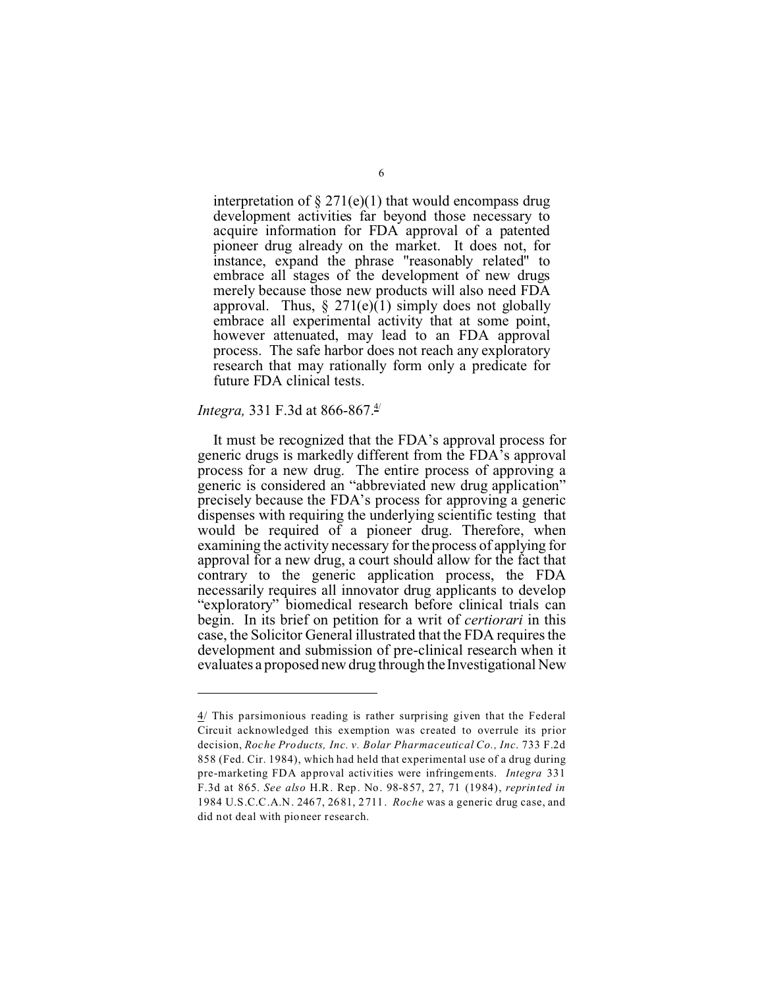interpretation of  $\S 271(e)(1)$  that would encompass drug development activities far beyond those necessary to acquire information for FDA approval of a patented pioneer drug already on the market. It does not, for instance, expand the phrase "reasonably related" to embrace all stages of the development of new drugs merely because those new products will also need FDA approval. Thus,  $\S 271(e)(1)$  simply does not globally embrace all experimental activity that at some point, however attenuated, may lead to an FDA approval process. The safe harbor does not reach any exploratory research that may rationally form only a predicate for future FDA clinical tests.

#### *Integra,* 331 F.3d at 866-867.<sup>4/</sup>

It must be recognized that the FDA's approval process for generic drugs is markedly different from the FDA's approval process for a new drug. The entire process of approving a generic is considered an "abbreviated new drug application" precisely because the FDA's process for approving a generic dispenses with requiring the underlying scientific testing that would be required of a pioneer drug. Therefore, when examining the activity necessary for the process of applying for approval for a new drug, a court should allow for the fact that contrary to the generic application process, the FDA necessarily requires all innovator drug applicants to develop "exploratory" biomedical research before clinical trials can begin. In its brief on petition for a writ of *certiorari* in this case, the Solicitor General illustrated that the FDA requires the development and submission of pre-clinical research when it evaluates a proposed new drug through the Investigational New

<sup>4/</sup> This parsimonious reading is rather surprising given that the Federal Circuit acknowledged this exemption was created to overrule its prior decision, *Roche Products, Inc. v. Bolar Pharmaceutical Co., Inc*. 733 F.2d 858 (Fed. Cir. 1984), which had held that experimental use of a drug during pre-marketing FDA approval activities were infringements. *Integra* 331 F.3d at 865. *See also* H.R. Rep. No. 98-857, 27, 71 (1984), *reprinted in* 1984 U.S.C.C.A.N. 2467, 2681, 2711. *Roche* was a generic drug case, and did not deal with pioneer research.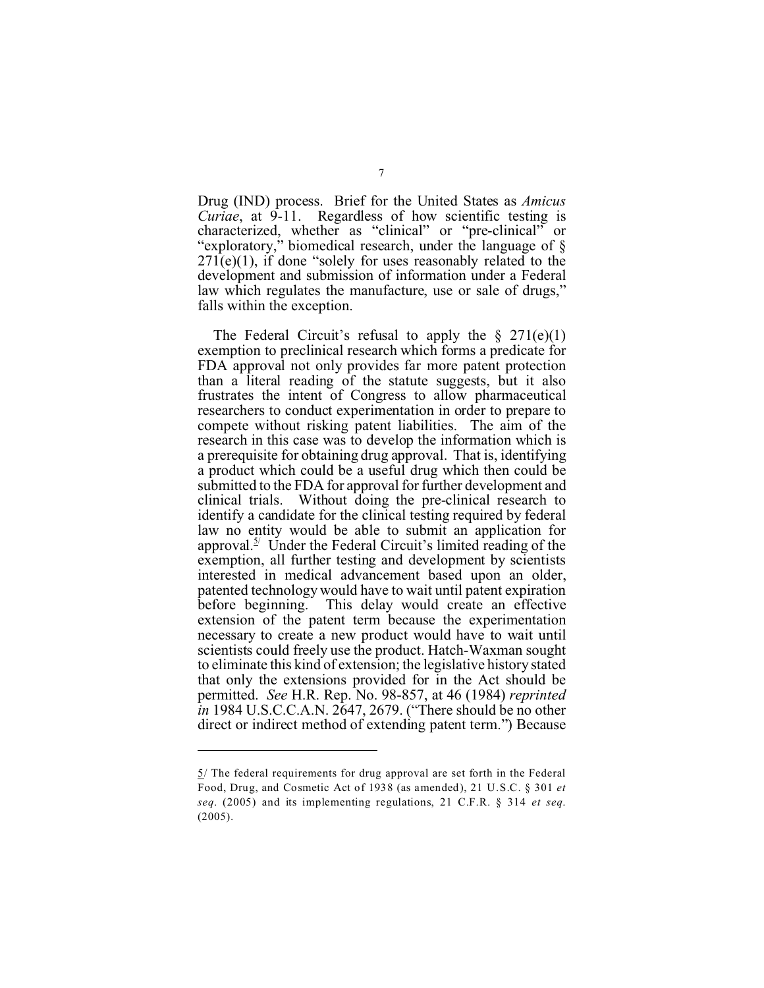Drug (IND) process. Brief for the United States as *Amicus Curiae*, at 9-11. Regardless of how scientific testing is characterized, whether as "clinical" or "pre-clinical" or "exploratory," biomedical research, under the language of §  $271(e)(1)$ , if done "solely for uses reasonably related to the development and submission of information under a Federal law which regulates the manufacture, use or sale of drugs," falls within the exception.

The Federal Circuit's refusal to apply the  $\S$  271(e)(1) exemption to preclinical research which forms a predicate for FDA approval not only provides far more patent protection than a literal reading of the statute suggests, but it also frustrates the intent of Congress to allow pharmaceutical researchers to conduct experimentation in order to prepare to compete without risking patent liabilities. The aim of the research in this case was to develop the information which is a prerequisite for obtaining drug approval. That is, identifying a product which could be a useful drug which then could be submitted to the FDA for approval for further development and clinical trials. Without doing the pre-clinical research to identify a candidate for the clinical testing required by federal law no entity would be able to submit an application for approval.<sup>5/</sup> Under the Federal Circuit's limited reading of the exemption, all further testing and development by scientists interested in medical advancement based upon an older, patented technology would have to wait until patent expiration before beginning. This delay would create an effective extension of the patent term because the experimentation necessary to create a new product would have to wait until scientists could freely use the product. Hatch-Waxman sought to eliminate this kind of extension; the legislative history stated that only the extensions provided for in the Act should be permitted. *See* H.R. Rep. No. 98-857, at 46 (1984) *reprinted in* 1984 U.S.C.C.A.N. 2647, 2679. ("There should be no other direct or indirect method of extending patent term.") Because

<sup>5/</sup> The federal requirements for drug approval are set forth in the Federal Food, Drug, and Cosmetic Act of 1938 (as amended), 21 U.S.C. § 301 *et seq*. (2005) and its implementing regulations, 21 C.F.R. § 314 *et seq*. (2005).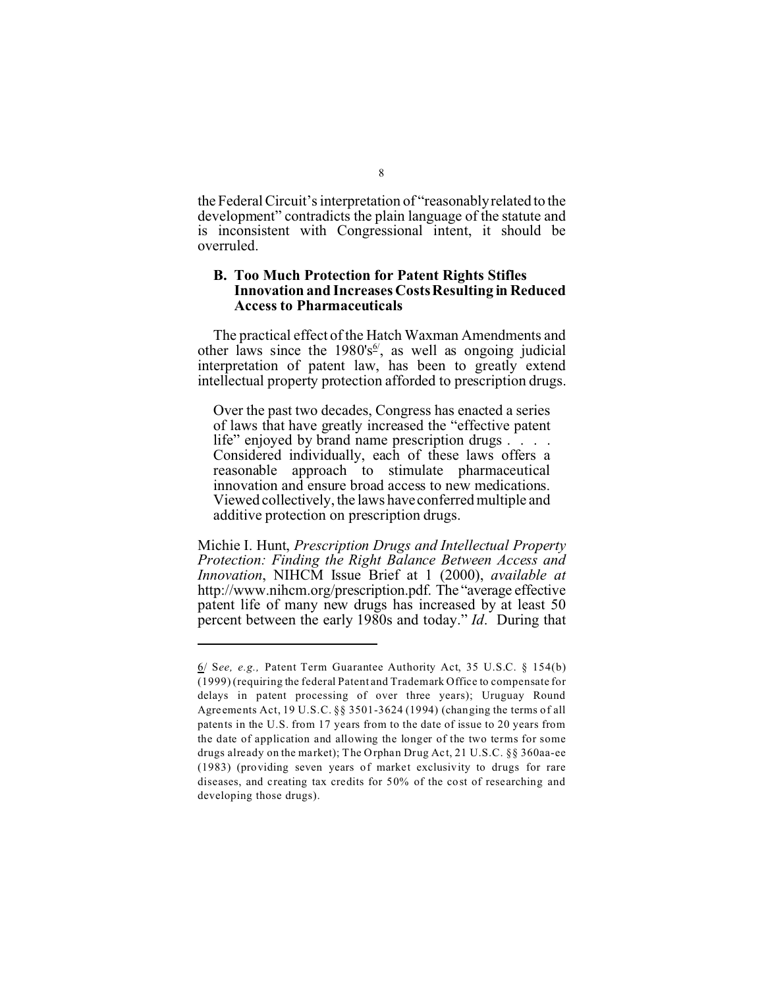the Federal Circuit's interpretation of "reasonably related to the development" contradicts the plain language of the statute and is inconsistent with Congressional intent, it should be overruled.

#### **B. Too Much Protection for Patent Rights Stifles Innovation and Increases Costs Resulting in Reduced Access to Pharmaceuticals**

The practical effect of the Hatch Waxman Amendments and other laws since the 1980's<sup>6'</sup>, as well as ongoing judicial interpretation of patent law, has been to greatly extend intellectual property protection afforded to prescription drugs.

Over the past two decades, Congress has enacted a series of laws that have greatly increased the "effective patent life" enjoyed by brand name prescription drugs . . . . Considered individually, each of these laws offers a reasonable approach to stimulate pharmaceutical innovation and ensure broad access to new medications. Viewed collectively, the laws have conferred multiple and additive protection on prescription drugs.

Michie I. Hunt, *Prescription Drugs and Intellectual Property Protection: Finding the Right Balance Between Access and Innovation*, NIHCM Issue Brief at 1 (2000), *available at* http://www.nihcm.org/prescription.pdf. The "average effective patent life of many new drugs has increased by at least 50 percent between the early 1980s and today." *Id*. During that

<sup>6/</sup> S*ee, e.g.,* Patent Term Guarantee Authority Act, 35 U.S.C. § 154(b) (1999) (requiring the federal Patent and Trademark Office to compensate for delays in patent processing of over three years); Uruguay Round Agreements Act, 19 U.S.C. §§ 3501-3624 (1994) (changing the terms of all patents in the U.S. from 17 years from to the date of issue to 20 years from the date of application and allowing the longer of the two terms for some drugs already on the market); The Orphan Drug Act, 21 U.S.C. §§ 360aa-ee (1983) (providing seven years of market exclusivity to drugs for rare diseases, and creating tax credits for 50% of the cost of researching and developing those drugs).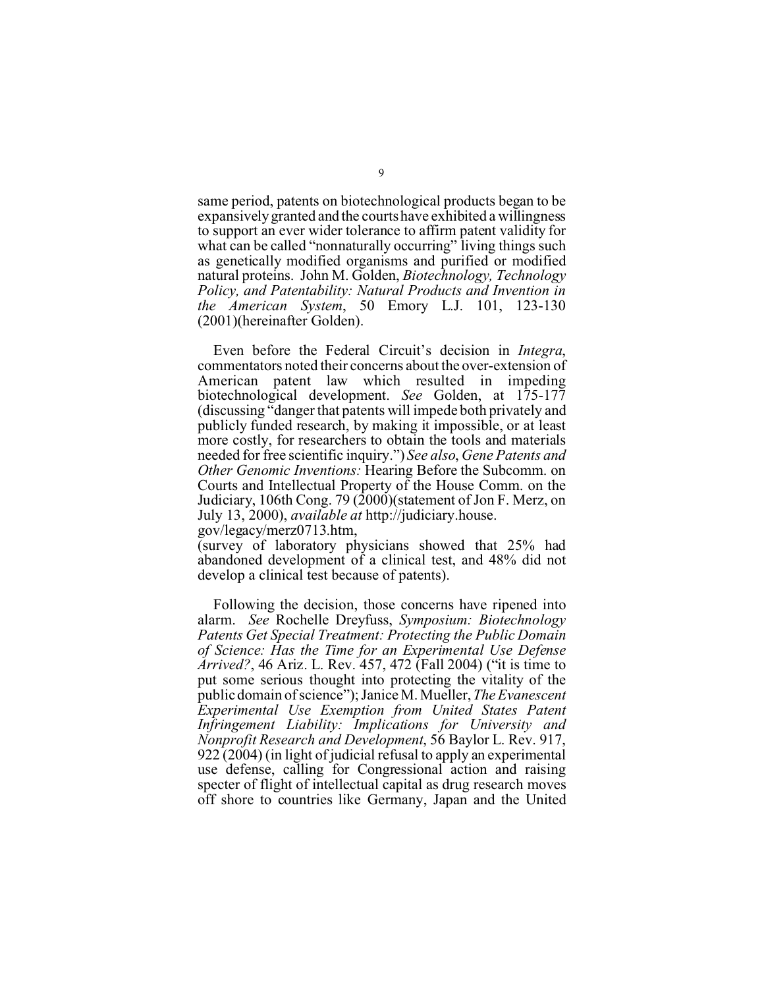same period, patents on biotechnological products began to be expansively granted and the courts have exhibited a willingness to support an ever wider tolerance to affirm patent validity for what can be called "nonnaturally occurring" living things such as genetically modified organisms and purified or modified natural proteins. John M. Golden, *Biotechnology, Technology Policy, and Patentability: Natural Products and Invention in the American System*, 50 Emory L.J. 101, 123-130 (2001)(hereinafter Golden).

Even before the Federal Circuit's decision in *Integra*, commentators noted their concerns about the over-extension of American patent law which resulted in impeding biotechnological development. *See* Golden, at 175-177 (discussing "danger that patents will impede both privately and publicly funded research, by making it impossible, or at least more costly, for researchers to obtain the tools and materials needed for free scientific inquiry.") *See also*, *Gene Patents and Other Genomic Inventions:* Hearing Before the Subcomm. on Courts and Intellectual Property of the House Comm. on the Judiciary, 106th Cong. 79 (2000)(statement of Jon F. Merz, on July 13, 2000), *available at* http://judiciary.house. gov/legacy/merz0713.htm,

(survey of laboratory physicians showed that 25% had abandoned development of a clinical test, and 48% did not develop a clinical test because of patents).

Following the decision, those concerns have ripened into alarm. *See* Rochelle Dreyfuss, *Symposium: Biotechnology Patents Get Special Treatment: Protecting the Public Domain of Science: Has the Time for an Experimental Use Defense Arrived?*, 46 Ariz. L. Rev. 457, 472 (Fall 2004) ("it is time to put some serious thought into protecting the vitality of the public domain of science"); Janice M. Mueller, *The Evanescent Experimental Use Exemption from United States Patent Infringement Liability: Implications for University and Nonprofit Research and Development*, 56 Baylor L. Rev. 917, 922 (2004) (in light of judicial refusal to apply an experimental use defense, calling for Congressional action and raising specter of flight of intellectual capital as drug research moves off shore to countries like Germany, Japan and the United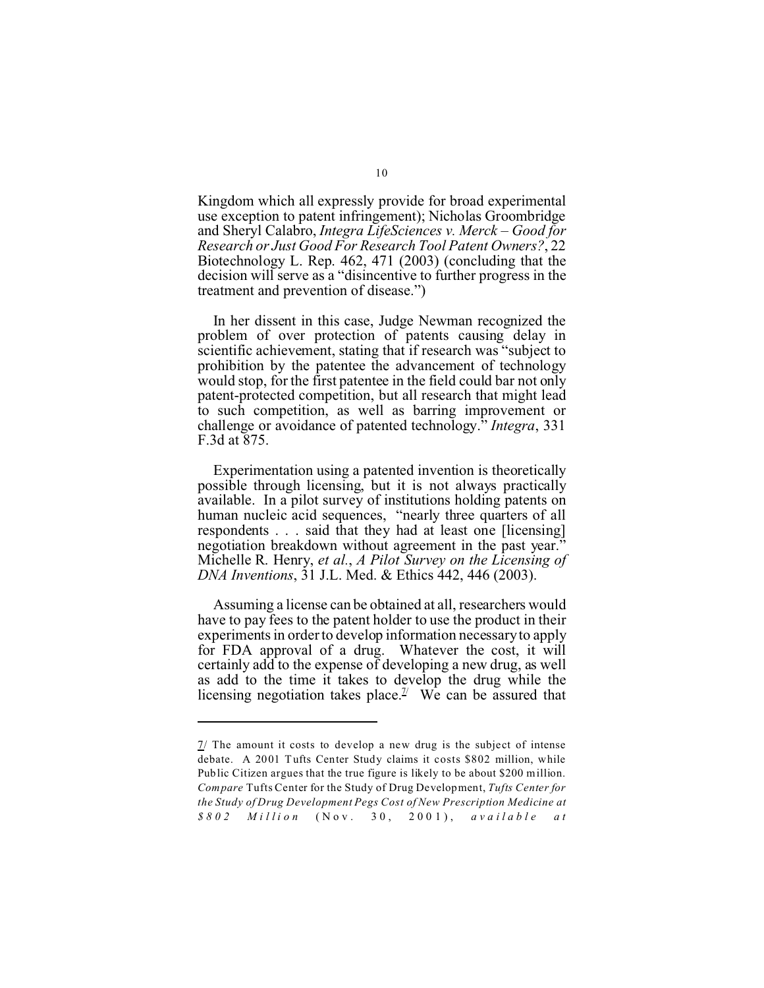Kingdom which all expressly provide for broad experimental use exception to patent infringement); Nicholas Groombridge and Sheryl Calabro, *Integra LifeSciences v. Merck – Good for Research or Just Good For Research Tool Patent Owners?*, 22 Biotechnology L. Rep. 462, 471 (2003) (concluding that the decision will serve as a "disincentive to further progress in the treatment and prevention of disease.")

In her dissent in this case, Judge Newman recognized the problem of over protection of patents causing delay in scientific achievement, stating that if research was "subject to prohibition by the patentee the advancement of technology would stop, for the first patentee in the field could bar not only patent-protected competition, but all research that might lead to such competition, as well as barring improvement or challenge or avoidance of patented technology." *Integra*, 331 F.3d at 875.

Experimentation using a patented invention is theoretically possible through licensing, but it is not always practically available. In a pilot survey of institutions holding patents on human nucleic acid sequences, "nearly three quarters of all respondents . . . said that they had at least one [licensing] negotiation breakdown without agreement in the past year." Michelle R. Henry, *et al.*, *A Pilot Survey on the Licensing of DNA Inventions*, 31 J.L. Med. & Ethics 442, 446 (2003).

Assuming a license can be obtained at all, researchers would have to pay fees to the patent holder to use the product in their experiments in order to develop information necessary to apply for FDA approval of a drug. Whatever the cost, it will certainly add to the expense of developing a new drug, as well as add to the time it takes to develop the drug while the licensing negotiation takes place.<sup> $\frac{\gamma}{2}$ </sup> We can be assured that

<sup>7/</sup> The amount it costs to develop a new drug is the subject of intense debate. A 2001 Tufts Center Study claims it costs \$802 million, while Public Citizen argues that the true figure is likely to be about \$200 million. *Compare* Tufts Center for the Study of Drug Development, *Tufts Center for the Study of Drug Development Pegs Cost of New Prescription Medicine at \$802 Mill ion* (Nov. 30, 200 1), *ava ila ble a t*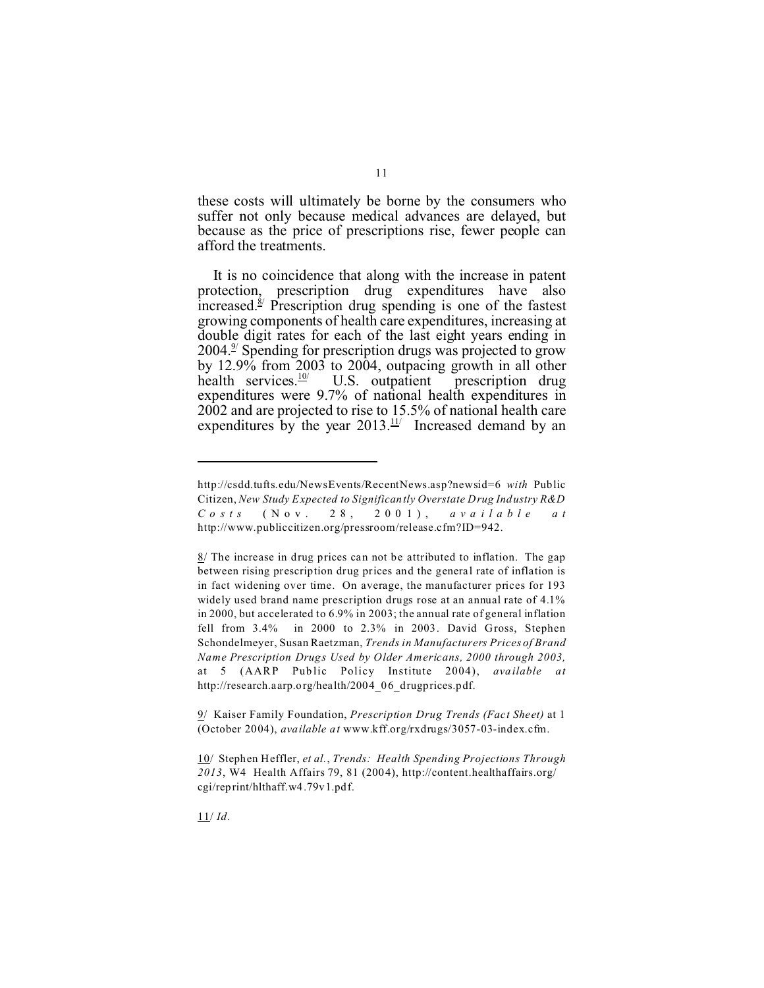these costs will ultimately be borne by the consumers who suffer not only because medical advances are delayed, but because as the price of prescriptions rise, fewer people can afford the treatments.

It is no coincidence that along with the increase in patent protection, prescription drug expenditures have also increased.<sup>8/</sup> Prescription drug spending is one of the fastest growing components of health care expenditures, increasing at double digit rates for each of the last eight years ending in 2004.<sup>9</sup> Spending for prescription drugs was projected to grow by 12.9% from 2003 to 2004, outpacing growth in all other health services.<sup>10</sup> U.S. outpatient prescription drug health services. $\frac{10}{1}$ prescription drug expenditures were 9.7% of national health expenditures in 2002 and are projected to rise to 15.5% of national health care expenditures by the year  $2013$ .<sup>11/</sup> Increased demand by an

9/ Kaiser Family Foundation, *Prescription Drug Trends (Fact Sheet)* at 1 (October 2004), *available at* www.kff.org/rxdrugs/3057-03-index.cfm.

11/ *Id*.

<http://csdd.tufts.edu/NewsEvents/RecentNews.asp?newsid=6> *with* Public Citizen, *New Study Expected to Significantly Overstate Drug Industry R&D C o sts* (Nov. 28 , 200 1), *ava i l able a t* http://www.publiccitizen.org/pressroom/release.cfm?ID=942.

 $8/$  The increase in drug prices can not be attributed to inflation. The gap between rising prescription drug prices and the general rate of inflation is in fact widening over time. On average, the manufacturer prices for 193 widely used brand name prescription drugs rose at an annual rate of 4.1% in 2000, but accelerated to 6.9% in 2003; the annual rate of general inflation fell from 3.4% in 2000 to 2.3% in 2003. David Gross, Stephen Schondelmeyer, Susan Raetzman, *Trends in Manufacturers Prices of Brand Name Prescription Drugs Used by Older Americans, 2000 through 2003,* at 5 (AARP Pub lic Policy Institute 2004), *ava ilable at* http://research.aarp.org/health/2004\_06\_drugprices.pdf.

<sup>10/</sup> Stephen Heffler, *et al.*, *Trends: Health Spending Projections Through 2013*, W4 Health Affairs 79, 81 (2004), http://content.healthaffairs.org/ cgi/reprint/hlthaff.w4.79v1.pdf.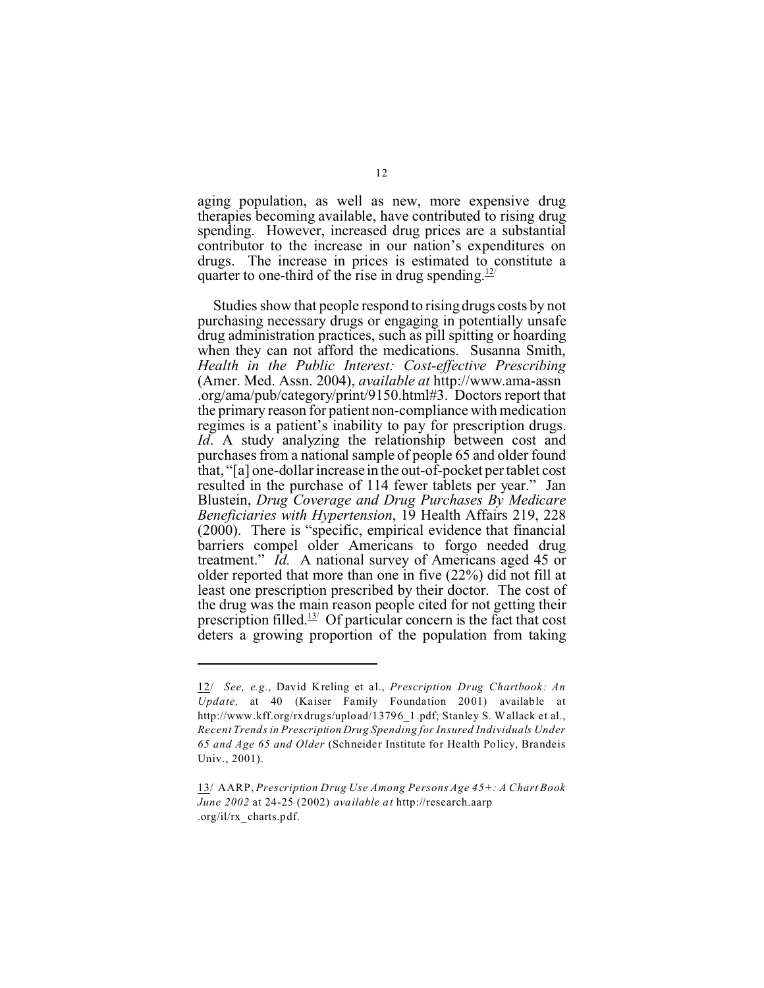aging population, as well as new, more expensive drug therapies becoming available, have contributed to rising drug spending. However, increased drug prices are a substantial contributor to the increase in our nation's expenditures on drugs. The increase in prices is estimated to constitute a quarter to one-third of the rise in drug spending.<sup>12/</sup>

Studies show that people respond to rising drugs costs by not purchasing necessary drugs or engaging in potentially unsafe drug administration practices, such as pill spitting or hoarding when they can not afford the medications. Susanna Smith, *Health in the Public Interest: Cost-effective Prescribing* (Amer. Med. Assn. 2004), *available at* http://www.ama-assn .org/ama/pub/category/print/9150.html#3. Doctors report that the primary reason for patient non-compliance with medication regimes is a patient's inability to pay for prescription drugs. *Id*. A study analyzing the relationship between cost and purchases from a national sample of people 65 and older found that, "[a] one-dollar increase in the out-of-pocket per tablet cost resulted in the purchase of 114 fewer tablets per year." Jan Blustein, *Drug Coverage and Drug Purchases By Medicare Beneficiaries with Hypertension*, 19 Health Affairs 219, 228 (2000). There is "specific, empirical evidence that financial barriers compel older Americans to forgo needed drug treatment." *Id.* A national survey of Americans aged 45 or older reported that more than one in five (22%) did not fill at least one prescription prescribed by their doctor. The cost of the drug was the main reason people cited for not getting their prescription filled.<sup>13/</sup> Of particular concern is the fact that cost deters a growing proportion of the population from taking

<sup>12/</sup> *See, e.g.*, David Kreling et al., *Prescription Drug Chartbook: An Update,* at 40 (Kaiser Family Foundation 2001) available at http://www.kff.org/rxdrugs/upload/13796\_1.pdf; Stanley S. Wallack et al., *Recent Trends in Prescription Drug Spending for Insured Individuals Under 65 and Age 65 and Older* (Schneider Institute for Health Policy, Brandeis Univ., 2001).

<sup>13/</sup> AARP, *Prescription Drug Use Among Persons Age 45+: A Chart Book June 2002* at 24-25 (2002) *available at* http://research.aarp .org/il/rx\_charts.pdf.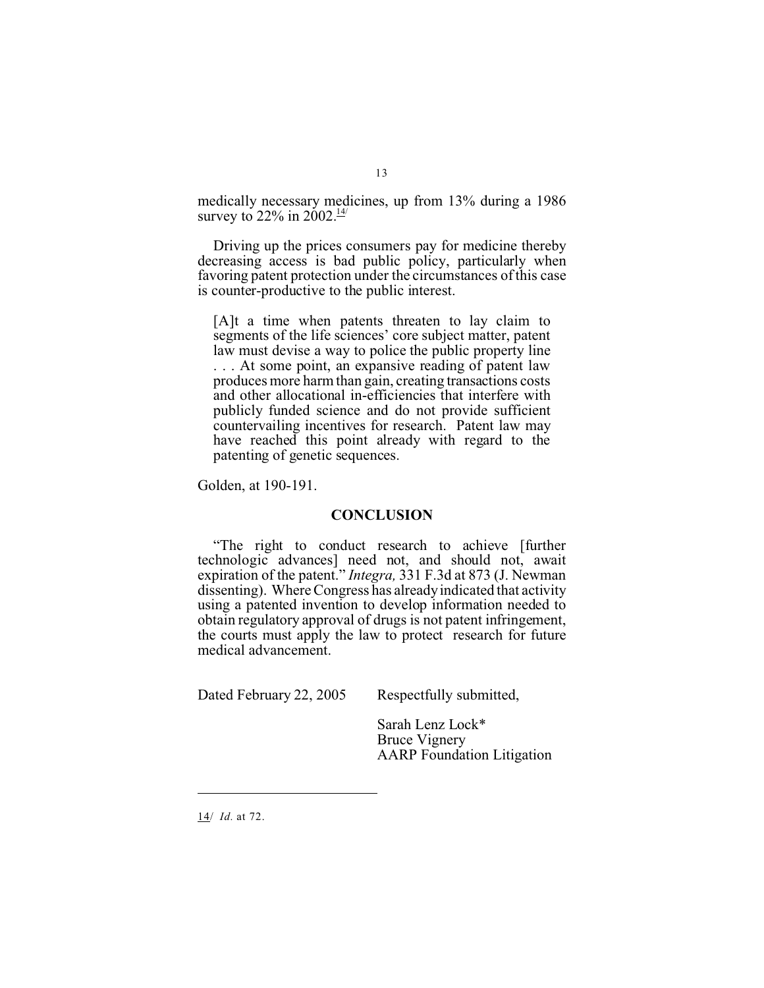medically necessary medicines, up from 13% during a 1986 survey to 22% in 2002. $\frac{14}{1}$ 

Driving up the prices consumers pay for medicine thereby decreasing access is bad public policy, particularly when favoring patent protection under the circumstances of this case is counter-productive to the public interest.

[A]t a time when patents threaten to lay claim to segments of the life sciences' core subject matter, patent law must devise a way to police the public property line . . . At some point, an expansive reading of patent law produces more harm than gain, creating transactions costs and other allocational in-efficiencies that interfere with publicly funded science and do not provide sufficient countervailing incentives for research. Patent law may have reached this point already with regard to the patenting of genetic sequences.

Golden, at 190-191.

#### **CONCLUSION**

"The right to conduct research to achieve [further technologic advances] need not, and should not, await expiration of the patent." *Integra,* 331 F.3d at 873 (J. Newman dissenting). Where Congress has already indicated that activity using a patented invention to develop information needed to obtain regulatory approval of drugs is not patent infringement, the courts must apply the law to protect research for future medical advancement.

Dated February 22, 2005 Respectfully submitted,

Sarah Lenz Lock\* Bruce Vignery AARP Foundation Litigation

14/ *Id.* at 72.